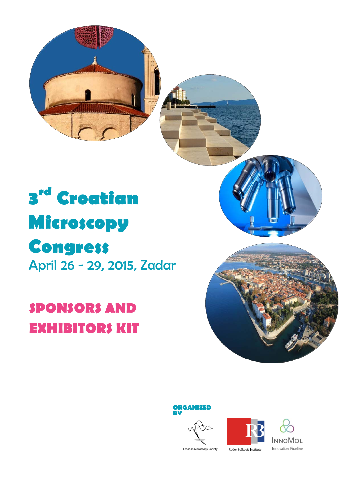

# **3rd Croatian Microscopy Congress** April 26 - 29, 2015, Zadar

# **SPONSORS AND EXHIBITORS KIT**







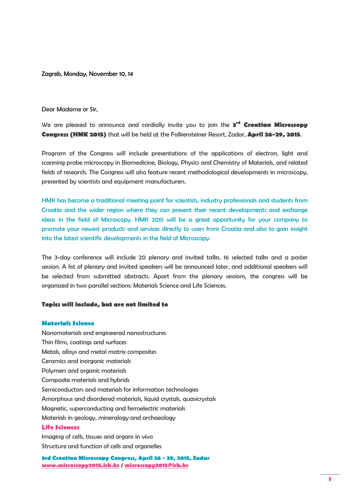Zagreb, Monday, November 10, 14

Dear Madame or Sir,

We are pleased to announce and cordially invite you to join the **3rd Croatian Microscopy Congress (HMK 2015)** that will be held at the Falkensteiner Resort, Zadar, **April 26-29, 2015**.

Program of the Congress will include presentations of the applications of electron, light and scanning probe microscopy in Biomedicine, Biology, Physics and Chemistry of Materials, and related fields of research. The Congress will also feature recent methodological developments in microscopy, presented by scientists and equipment manufacturers.

HMK has become a traditional meeting point for scientists, industry professionals and students from Croatia and the wider region where they can present their recent developments and exchange ideas in the field of Microscopy. HMK 2015 will be a great opportunity for your company to promote your newest products and services directly to users from Croatia and also to gain insight into the latest scientific developments in the field of Microscopy.

The 3-day conference will include 20 plenary and invited talks, 16 selected talks and a poster session. A list of plenary and invited speakers will be announced later, and additional speakers will be selected from submitted abstracts. Apart from the plenary sessions, the congress will be organized in two parallel sections: Materials Science and Life Sciences.

#### **Topics will include, but are not limited to**

#### **Materials Science**

Nanomaterials and engineered nanostructures Thin films, coatings and surfaces Metals, alloys and metal matrix composites Ceramics and inorganic materials Polymers and organic materials Composite materials and hybrids Semiconductors and materials for information technologies Amorphous and disordered materials, liquid crystals, quasicrystals Magnetic, superconducting and ferroelectric materials Materials in geology, mineralogy and archaeology **Life Sciences** Imaging of cells, tissues and organs in vivo

Structure and function of cells and organelles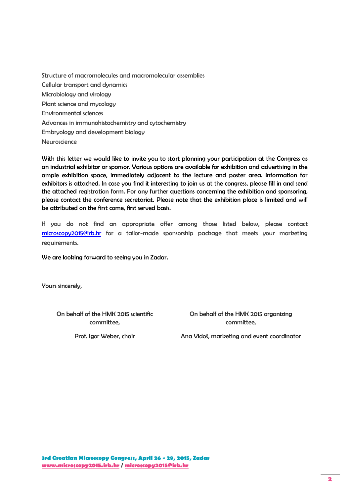Structure of macromolecules and macromolecular assemblies Cellular transport and dynamics Microbiology and virology Plant science and mycology Environmental sciences Advances in immunohistochemistry and cytochemistry Embryology and development biology **Neuroscience** 

With this letter we would like to invite you to start planning your participation at the Congress as an industrial exhibitor or sponsor. Various options are available for exhibition and advertising in the ample exhibition space, immediately adjacent to the lecture and poster area. Information for exhibitors is attached. In case you find it interesting to join us at the congress, please fill in and send the attached registration form. For any further questions concerning the exhibition and sponsoring, please contact the conference secretariat. Please note that the exhibition place is limited and will be attributed on the first come, first served basis.

If you do not find an appropriate offer among those listed below, please contact [microscopy2015@irb.hr](mailto:microscopy2015@irb.hr) for a tailor-made sponsorship package that meets your marketing requirements.

We are looking forward to seeing you in Zadar.

Yours sincerely,

On behalf of the HMK 2015 scientific committee,

Prof. Igor Weber, chair

On behalf of the HMK 2015 organizing committee,

Ana Vidoš, marketing and event coordinator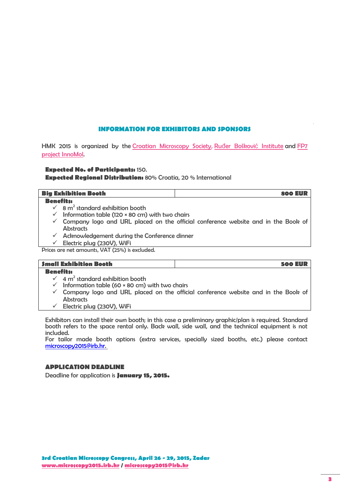# **INFORMATION FOR EXHIBITORS AND SPONSORS**

HMK 2015 is organized by the [Croatian Microscopy Society,](http://www.mikroskopija.hr/) Ruđ[er Boškovi](http://www.irb.hr/)ć Institute and FP7 [project InnoMol.](http://www.innomol.eu/)

# **Expected No. of Participants:** 150.

**Expected Regional Distribution:** 80% Croatia, 20 % International

| <b>Big Exhibition Booth</b>                         | 800 EUR |
|-----------------------------------------------------|---------|
| <b>Benefits:</b>                                    |         |
| $\sqrt{8}$ m <sup>2</sup> standard exhibition booth |         |

- $\checkmark$  Information table (120 × 80 cm) with two chairs
- $\checkmark$  Company logo and URL placed on the official conference website and in the Book of Abstracts
- $\checkmark$  Acknowledgement during the Conference dinner
- $\checkmark$  Electric plug (230V), WiFi

Prices are net amounts, VAT (25%) is excluded.

### **Small Exhibition Booth 500 EUR**

#### **Benefits:**

- $4 m<sup>2</sup>$  standard exhibition booth
- $\checkmark$  Information table (60 × 80 cm) with two chairs
- $\checkmark$  Company logo and URL placed on the official conference website and in the Book of **Abstracts**
- $\checkmark$  Electric plug (230V), WiFi

Exhibitors can install their own booth; in this case a preliminary graphic/plan is required. Standard booth refers to the space rental only. Back wall, side wall, and the technical equipment is not included.

For tailor made booth options (extra services, specially sized booths, etc.) please contact [microscopy2015@irb.hr.](mailto:microscopy2015@irb.hr)

# **APPLICATION DEADLINE**

Deadline for application is **January 15, 2015.**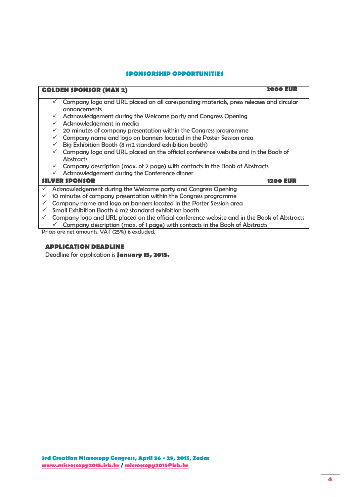# **SPONSORSHIP OPPORTUNITIES**

| <b>GOLDEN \$PON\$OR (MAX 2)</b>                                                                                               | 2000 EUR        |  |
|-------------------------------------------------------------------------------------------------------------------------------|-----------------|--|
| Company logo and URL placed on all coresponding materials, press releases and circular<br>$\checkmark$<br><b>annoncements</b> |                 |  |
| Acknowledgement during the Welcome party and Congress Opening                                                                 |                 |  |
| Acknowledgement in media<br>$\checkmark$                                                                                      |                 |  |
| 20 minutes of company presentation within the Congress programme<br>$\checkmark$                                              |                 |  |
| Company name and logo on banners located in the Poster Session area                                                           |                 |  |
| Big Exhibition Booth (8 m2 standard exhibition booth)<br>$\checkmark$                                                         |                 |  |
| Company logo and URL placed on the official conference website and in the Book of                                             |                 |  |
| <b>Abstracts</b>                                                                                                              |                 |  |
| Company description (max. of 2 page) with contacts in the Book of Abstracts                                                   |                 |  |
| Acknowledgement during the Conference dinner<br>$\checkmark$                                                                  |                 |  |
| <b>SILVER SPONSOR</b>                                                                                                         | <b>1200 EUR</b> |  |
| Acknowledgement during the Welcome party and Congress Opening                                                                 |                 |  |
| 10 minutes of company presentation within the Congress programme                                                              |                 |  |
| Company name and logo on banners located in the Poster Session area                                                           |                 |  |
| Small Exhibition Booth 4 m2 standard exhibition booth                                                                         |                 |  |
| Company logo and URL placed on the official conference website and in the Book of Abstracts                                   |                 |  |
| Company description (max. of 1 page) with contacts in the Book of Abstracts                                                   |                 |  |
| Prices are net amounts, VAT (25%) is excluded.                                                                                |                 |  |

# **APPLICATION DEADLINE**

Deadline for application is **January 15, 2015.**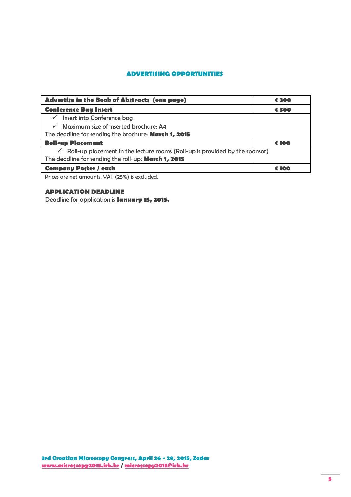# **ADVERTISING OPPORTUNITIES**

| Advertise in the Book of Abstracts (one page)                                            | € 300 |  |
|------------------------------------------------------------------------------------------|-------|--|
| <b>Conference Bag Insert</b>                                                             | € 300 |  |
| Insert into Conference bag<br>$\checkmark$                                               |       |  |
| Maximum size of inserted brochure: A4<br>$\checkmark$                                    |       |  |
| The deadline for sending the brochure: March 1, 2015                                     |       |  |
| <b>Roll-up Placement</b>                                                                 | € 100 |  |
| $\checkmark$ Roll-up placement in the lecture rooms (Roll-up is provided by the sponsor) |       |  |
| The deadline for sending the roll-up: March 1, 2015                                      |       |  |
| <b>Company Poster / each</b><br>100                                                      |       |  |

Prices are net amounts, VAT (25%) is excluded.

# **APPLICATION DEADLINE**

Deadline for application is **January 15, 2015.**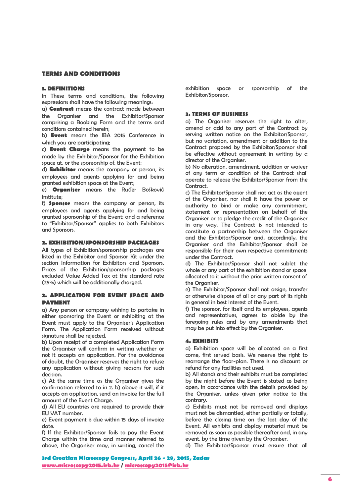#### **TERMS AND CONDITIONS**

#### **1. DEFINITIONS**

In These terms and conditions, the following expressions shall have the following meanings:

a) **Contract** means the contract made between the Organiser and the Exhibitor/Sponsor comprising a Booking Form and the terms and conditions contained herein;

b) **Event** means the IBA 2015 Conference in which you are participating;

c) **Event Charge** means the payment to be made by the Exhibitor/Sponsor for the Exhibition space at, or the sponsorship of, the Event;

d) **Exhibitor** means the company or person, its employees and agents applying for and being granted exhibition space at the Event;

e) **Organiser** means the Ruđer Bošković Institute;

f) **Sponsor** means the company or person, its employees and agents applying for and being granted sponsorship of the Event; and a reference to "Exhibitor/Sponsor" applies to both Exhibitors and Sponsors.

#### **2. EXHIBITION/SPONSORSHIP PACKAGES**

All types of Exhibition/sponsorship packages are listed in the Exhibitor and Sponsor Kit under the section Information for Exhibitors and Sponsors. Prices of the Exhibition/sponsorship packages excluded Value Added Tax at the standard rate (25%) which will be additionally charged.

#### **2. APPLICATION FOR EVENT SPACE AND PAYMENT**

a) Any person or company wishing to partake in either sponsoring the Event or exhibiting at the Event must apply to the Organiser's Application Form. The Application Form received without signature shall be rejected.

b) Upon receipt of a completed Application Form the Organiser will confirm in writing whether or not it accepts an application. For the avoidance of doubt, the Organiser reserves the right to refuse any application without giving reasons for such decision.

c) At the same time as the Organiser gives the confirmation referred to in 2. b) above it will, if it accepts an application, send an invoice for the full amount of the Event Charge.

d) All EU countries are required to provide their EU VAT number.

e) Event payment is due within 15 days of invoice date.

f) If the Exhibitor/Sponsor fails to pay the Event Charge within the time and manner referred to above, the Organiser may, in writing, cancel the

exhibition space or sponsorship of the Exhibitor/Sponsor.

#### **3. TERMS OF BUSINESS**

a) The Organiser reserves the right to alter, amend or add to any part of the Contract by serving written notice on the Exhibitor/Sponsor, but no variation, amendment or addition to the Contract proposed by the Exhibitor/Sponsor shall be effective without agreement in writing by a director of the Organiser.

b) No alteration, amendment, addition or waiver of any term or condition of the Contract shall operate to release the Exhibitor/Sponsor from the **Contract.** 

c) The Exhibitor/Sponsor shall not act as the agent of the Organiser, nor shall it have the power or authority to bind or make any commitment, statement or representation on behalf of the Organiser or to pledge the credit of the Organiser in any way. The Contract is not intended to constitute a partnership between the Organiser and the Exhibitor/Sponsor and, accordingly, the Organiser and the Exhibitor/Sponsor shall be responsible for their own respective commitments under the Contract.

d) The Exhibitor/Sponsor shall not sublet the whole or any part of the exhibition stand or space allocated to it without the prior written consent of the Organiser.

e) The Exhibitor/Sponsor shall not assign, transfer or otherwise dispose of all or any part of its rights in general in best interest of the Event.

f) The sponsor, for itself and its employees, agents and representatives, agrees to abide by the foregoing rules and by any amendments that may be put into effect by the Organiser.

#### **4. EXHIBITS**

a) Exhibition space will be allocated on a first come, first served basis. We reserve the right to rearrange the floor-plan. There is no discount or refund for any facilities not used.

b) All stands and their exhibits must be completed by the night before the Event is stated as being open, in accordance with the details provided by the Organiser, unless given prior notice to the contrary.

c) Exhibits must not be removed and displays must not be dismantled, either partially or totally, before the closing time on the last day of the Event. All exhibits and display material must be removed as soon as possible thereafter and, in any event, by the time given by the Organiser.

d) The Exhibitor/Sponsor must ensure that all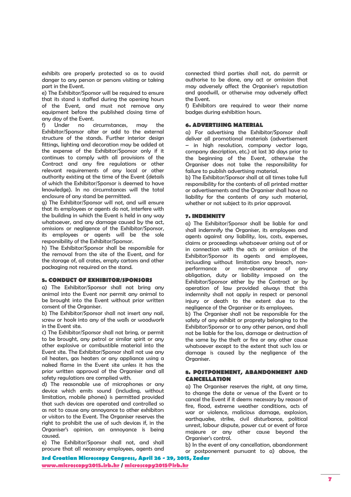exhibits are properly protected so as to avoid danger to any person or persons visiting or taking part in the Event.

e) The Exhibitor/Sponsor will be required to ensure that its stand is staffed during the opening hours of the Event, and must not remove any equipment before the published closing time of any day of the Event.

f) Under no circumstances, may the Exhibitor/Sponsor alter or add to the external structure of the stands. Further interior design fittings, lighting and decoration may be added at the expense of the Exhibitor/Sponsor only if it continues to comply with all provisions of the Contract and any fire regulations or other relevant requirements of any local or other authority existing at the time of the Event (details of which the Exhibitor/Sponsor is deemed to have knowledge). In no circumstances will the total enclosure of any stand be permitted.

g) The Exhibitor/Sponsor will not, and will ensure that its employees or agents do not, interfere with the building in which the Event is held in any way whatsoever, and any damage caused by the act, omissions or negligence of the Exhibitor/Sponsor, its employees or agents will be the sole responsibility of the Exhibitor/Sponsor.

h) The Exhibitor/Sponsor shall be responsible for the removal from the site of the Event, and for the storage of, all crates, empty cartons and other packaging not required on the stand.

#### **5. CONDUCT OF EXHIBITOR/SPONSORS**

a) The Exhibitor/Sponsor shall not bring any animal into the Event nor permit any animal to be brought into the Event without prior written consent of the Organiser.

b) The Exhibitor/Sponsor shall not insert any nail, screw or hook into any of the walls or woodwork in the Event site.

c) The Exhibitor/Sponsor shall not bring, or permit to be brought, any petrol or similar spirit or any other explosive or combustible material into the Event site. The Exhibitor/Sponsor shall not use any oil heaters, gas heaters or any appliance using a naked flame in the Event site unless it has the prior written approval of the Organiser and all safety regulations are complied with.

d) The reasonable use of microphones or any device which emits sound (including, without limitation, mobile phones) is permitted provided that such devices are operated and controlled so as not to cause any annoyance to other exhibitors or visitors to the Event. The Organiser reserves the right to prohibit the use of such devices if, in the Organiser's opinion, an annoyance is being caused.

e) The Exhibitor/Sponsor shall not, and shall procure that all necessary employees, agents and connected third parties shall not, do permit or authorise to be done, any act or omission that may adversely affect the Organiser's reputation and goodwill, or otherwise may adversely affect the Event.

f) Exhibitors are required to wear their name badges during exhibition hours.

#### **6. ADVERTISING MATERIAL**

a) For advertising the Exhibitor/Sponsor shall deliver all promotional materials (advertisement – in high resolution, company vector logo, company description, etc.) at last 30 days prior to the beginning of the Event, otherwise the Organiser does not take the responsibility for failure to publish advertising material.

b) The Exhibitor/Sponsor shall at all times take full responsibility for the contents of all printed matter or advertisements and the Organiser shall have no liability for the contents of any such material, whether or not subject to its prior approval.

#### **7. INDEMNITY**

a) The Exhibitor/Sponsor shall be liable for and shall indemnify the Organiser, its employees and agents against any liability, loss, costs, expenses, claims or proceedings whatsoever arising out of or in connection with the acts or omission of the Exhibitor/Sponsor its agents and employees, incluuding without limitation any breach, nonperformance or non-observance of any obligation, duty or liability imposed on the Exhibitor/Sponsor either by the Contract or by operation of law provided always that this indemnity shall not apply in respect or personal injury or death to the extent due to the negligence of the Organiser or its employees.

b) The Organiser shall not be responsible for the safety of any exhibit or proprety belonging to the Exhibitor/Sponsor or to any other person, and shall not be liable for the loss, damage or destruction of the same by the theft or fire or any other cause whatsoever except to the extent that such loss or damage is caused by the negligence of the Organiser.

#### **8. POSTPONEMENT, ABANDONMENT AND CANCELLATION**

a) The Organiser reserves the right, at any time, to change the date or venue of the Event or to cancel the Event if it deems necessary by reason of fire, flood, extreme weather conditions, acts of war or violence, malicious damage, explosion, earthquake, strike, civil disturbance, political unrest, labour dispute, power cut or event of force majeure or any other cause beyond the Organiser's control.

b) In the event of any cancellation, abandonment or postponement pursuant to a) above, the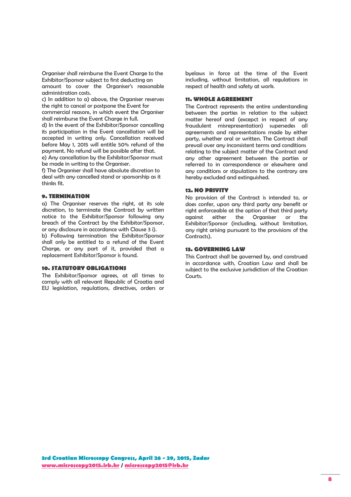Organiser shall reimburse the Event Charge to the Exhibitor/Sponsor subject to first deducting an amount to cover the Organiser's reasonable administration costs.

c) In addition to a) above, the Organiser reserves the right to cancel or postpone the Event for commercial reasons, in which event the Organiser shall reimburse the Event Charge in full.

d) In the event of the Exhibitor/Sponsor cancelling its participation in the Event cancellation will be accepted in writing only. Cancellation received before May 1, 2015 will entitle 50% refund of the payment. No refund will be possible after that.

e) Any cancellation by the Exhibitor/Sponsor must be made in writing to the Organiser.

f) The Organiser shall have absolute discretion to deal with any cancelled stand or sponsorship as it thinks fit.

#### **9. TERMINATION**

a) The Organiser reserves the right, at its sole discretion, to terminate the Contract by written notice to the Exhibitor/Sponsor following any breach of the Contract by the Exhibitor/Sponsor, or any disclosure in accordance with Clause 3 i).

b) Following termination the Exhibitor/Sponsor shall only be entitled to a refund of the Event Charge, or any part of it, provided that a replacement Exhibitor/Sponsor is found.

#### **10. STATUTORY OBLIGATIONS**

The Exhibitor/Sponsor agrees, at all times to comply with all relevant Republic of Croatia and EU legislation, regulations, directives, orders or

byelaws in force at the time of the Event including, without limitation, all regulations in respect of health and safety at work.

#### **11. WHOLE AGREEMENT**

The Contract represents the entire understanding between the parties in relation to the subject matter hereof and (excepct in respect of any fraudulent misrepresentation) supersedes all agreements and representations made by either party, whether oral or written. The Contract shall prevail over any inconsistent terms and conditions relating to the subject matter of the Contract and any other agreement between the parties or referred to in correspondence or elsewhere and any conditions or stipulations to the contrary are hereby excluded and extinguished.

#### **12. NO PRIVITY**

No provision of the Contract is intended to, or does confer, upon any third party any benefit or right enforceable at the option of that third party against either the Organiser or the Exhibitor/Sponsor (including, without limitation, any right arising pursuant to the provisions of the Contracts).

## **13. GOVERNING LAW**

This Contract shall be governed by, and construed in accordance with, Croatian Law and shall be subject to the exclusive jurisdiction of the Croatian Courts.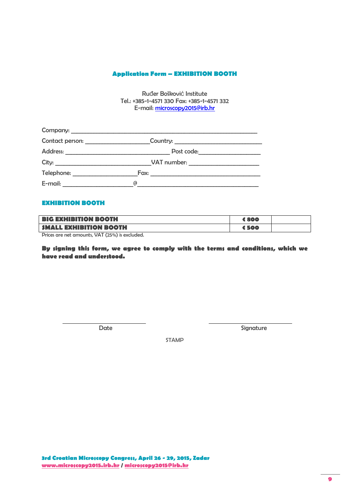# **Application Form – EXHIBITION BOOTH**

Ruđer Bošković Institute Tel.: +385-1-4571 330 Fax: +385-1-4571 332 E-mail: [microscopy2015@irb.hr](mailto:microscopy2015@irb.hr)

|                                   | Company:    |  |
|-----------------------------------|-------------|--|
| Contact person: _________________ | Country:    |  |
|                                   |             |  |
|                                   | VAT number: |  |
|                                   |             |  |
| E-mail: E-mail:                   | (d          |  |

# **EXHIBITION BOOTH**

| <b>BIG EXHIBITION BOOTH</b>   | 6800  |  |
|-------------------------------|-------|--|
| <b>SMALL EXHIBITION BOOTH</b> | € 500 |  |

Prices are net amounts, VAT (25%) is excluded.

**By signing this form, we agree to comply with the terms and conditions, which we have read and understood.**

Date Signature

STAMP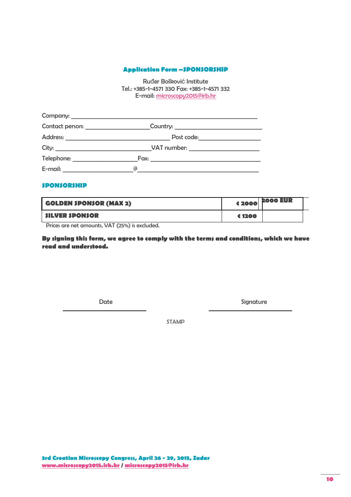# **Application Form –SPONSORSHIP**

Ruđer Bošković Institute Tel.: +385-1-4571 330 Fax: +385-1-4571 332 E-mail: [microscopy2015@irb.hr](mailto:microscopy2015@irb.hr)

|                                                                                                                                 | Company:    |  |
|---------------------------------------------------------------------------------------------------------------------------------|-------------|--|
|                                                                                                                                 |             |  |
|                                                                                                                                 |             |  |
|                                                                                                                                 | VAT number: |  |
| Telephone: ____________________                                                                                                 |             |  |
| E-mail:<br><u> 1980 - Jan Samuel Barbara, poeta poeta poeta poeta poeta poeta poeta poeta poeta poeta poeta poeta poeta poe</u> | G)          |  |

# **SPONSORSHIP**

| <b>GOLDEN SPONSOR (MAX 2)</b> |        | $\sim$ 4 2000 $\overline{P}$ 2000 EUR |  |
|-------------------------------|--------|---------------------------------------|--|
| <b>SILVER SPONSOR</b>         | € 1200 |                                       |  |

Prices are net amounts, VAT (25%) is excluded.

**By signing this form, we agree to comply with the terms and conditions, which we have read and understood.**

Date Signature Signature

STAMP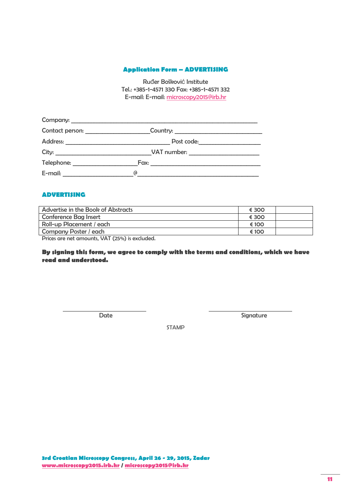# **Application Form – ADVERTISING**

Ruđer Bošković Institute Tel.: +385-1-4571 330 Fax: +385-1-4571 332 E-mail: E-mail: [microscopy2015@irb.hr](mailto:microscopy2015@irb.hr)

|                                                                                                                | Company:                                                                                                             |  |
|----------------------------------------------------------------------------------------------------------------|----------------------------------------------------------------------------------------------------------------------|--|
|                                                                                                                |                                                                                                                      |  |
| <b>Address:</b>                                                                                                | <u> 1980 - Johann John Stone, mars et al. 1980 - John Stone, mars et al. 1980 - John Stone, mars et al. 1980 - J</u> |  |
| City:                                                                                                          | VAT number:                                                                                                          |  |
| Telephone: The contract of the contract of the contract of the contract of the contract of the contract of the | Fax:                                                                                                                 |  |
| $E$ -mail:                                                                                                     | ര                                                                                                                    |  |

# **ADVERTISING**

| Advertise in the Book of Abstracts | € 300 |  |
|------------------------------------|-------|--|
| <b>Conference Bag Insert</b>       | € 300 |  |
| Roll-up Placement / each           | € 100 |  |
| Company Poster / each              | € 100 |  |

Prices are net amounts, VAT (25%) is excluded.

**By signing this form, we agree to comply with the terms and conditions, which we have read and understood.**

Date Signature

STAMP